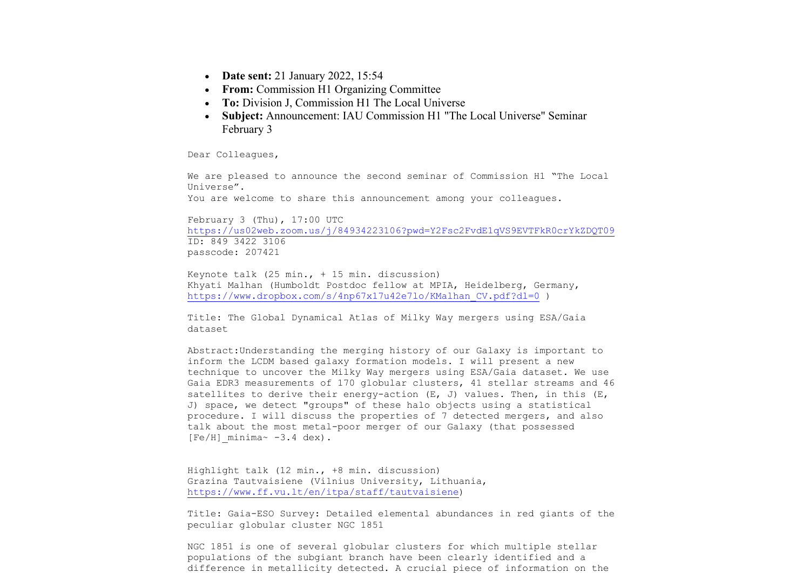- **Date sent:** 21 January 2022, 15:54
- **From:** Commission H1 Organizing Committee
- **To:** Division J. Commission H1 The Local Universe
- **Subject:** Announcement: IAU Commission H1 "The Local Universe" Seminar February 3

Dear Colleagues,

We are pleased to announce the second seminar of Commission H1 "The Local Universe".

You are welcome to share this announcement among your colleagues.

February 3 (Thu), 17:00 UTC https://us02web.zoom.us/j/84934223106?pwd=Y2Fsc2FvdE1qVS9EVTFkR0crYkZDQT09 ID: 849 3422 3106 passcode: 207421

Keynote talk  $(25 \text{ min.}, + 15 \text{ min.}$  discussion) Khyati Malhan (Humboldt Postdoc fellow at MPIA, Heidelberg, Germany, https://www.dropbox.com/s/4np67x17u42e7lo/KMalhan CV.pdf?dl=0 )

Title: The Global Dynamical Atlas of Milky Way mergers using ESA/Gaia dataset

Abstract:Understanding the merging history of our Galaxy is important to inform the LCDM based galaxy formation models. I will present a new technique to uncover the Milky Way mergers using ESA/Gaia dataset. We use Gaia EDR3 measurements of 170 globular clusters, 41 stellar streams and 46 satellites to derive their energy-action (E, J) values. Then, in this (E, J) space, we detect "groups" of these halo objects using a statistical procedure. I will discuss the properties of 7 detected mergers, and also talk about the most metal-poor merger of our Galaxy (that possessed  $[Fe/H]$  minima~  $-3.4$  dex).

Highlight talk (12 min., +8 min. discussion) Grazina Tautvaisiene (Vilnius University, Lithuania, https://www.ff.vu.lt/en/itpa/staff/tautvaisiene)

Title: Gaia-ESO Survey: Detailed elemental abundances in red giants of the peculiar globular cluster NGC 1851

NGC 1851 is one of several globular clusters for which multiple stellar populations of the subgiant branch have been clearly identified and a difference in metallicity detected. A crucial piece of information on the